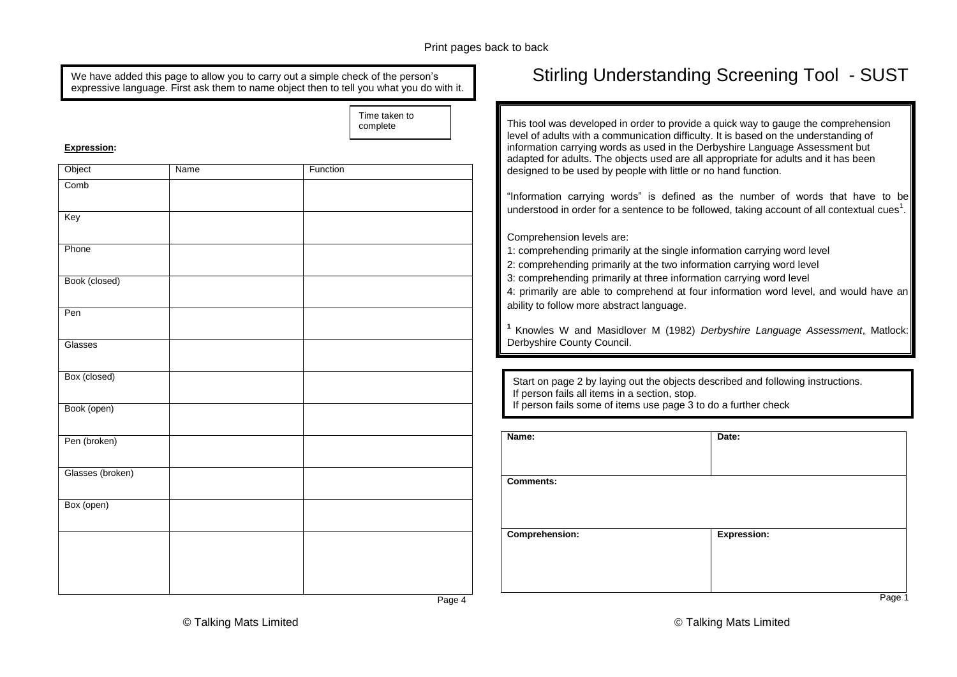# Print pages back to back

|                                                               |      | Time taken to<br>complete |                                                                | This tool was developed in order to provide a quick way to gauge the comprehension<br>level of adults with a communication difficulty. It is based on the understanding of                |
|---------------------------------------------------------------|------|---------------------------|----------------------------------------------------------------|-------------------------------------------------------------------------------------------------------------------------------------------------------------------------------------------|
| <b>Expression:</b>                                            |      |                           |                                                                | information carrying words as used in the Derbyshire Language Assessment but                                                                                                              |
| Object                                                        | Name | <b>Function</b>           | designed to be used by people with little or no hand function. | adapted for adults. The objects used are all appropriate for adults and it has been                                                                                                       |
| Comb                                                          |      |                           |                                                                | "Information carrying words" is defined as the number of words that have to be<br>understood in order for a sentence to be followed, taking account of all contextual cues <sup>1</sup> . |
| Key                                                           |      |                           |                                                                |                                                                                                                                                                                           |
| Phone                                                         |      |                           | Comprehension levels are:                                      | 1: comprehending primarily at the single information carrying word level                                                                                                                  |
| Book (closed)                                                 |      |                           |                                                                | 2: comprehending primarily at the two information carrying word level<br>3: comprehending primarily at three information carrying word level                                              |
|                                                               |      |                           | ability to follow more abstract language.                      | 4: primarily are able to comprehend at four information word level, and would have an                                                                                                     |
| Pen                                                           |      |                           |                                                                |                                                                                                                                                                                           |
| Glasses                                                       |      |                           | Derbyshire County Council.                                     | Knowles W and Masidlover M (1982) Derbyshire Language Assessment, Matlock:                                                                                                                |
|                                                               |      |                           |                                                                |                                                                                                                                                                                           |
| Box (closed)                                                  |      |                           | If person fails all items in a section, stop.                  | Start on page 2 by laying out the objects described and following instructions.                                                                                                           |
|                                                               |      |                           |                                                                | If person fails some of items use page 3 to do a further check                                                                                                                            |
|                                                               |      |                           |                                                                |                                                                                                                                                                                           |
|                                                               |      |                           | Name:                                                          | Date:                                                                                                                                                                                     |
|                                                               |      |                           |                                                                |                                                                                                                                                                                           |
|                                                               |      |                           | <b>Comments:</b>                                               |                                                                                                                                                                                           |
| Book (open)<br>Pen (broken)<br>Glasses (broken)<br>Box (open) |      |                           |                                                                |                                                                                                                                                                                           |